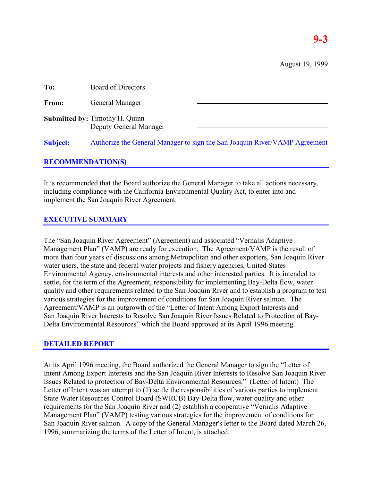August 19, 1999

| To:             | Board of Directors                                                         |
|-----------------|----------------------------------------------------------------------------|
| From:           | General Manager                                                            |
|                 | <b>Submitted by: Timothy H. Quinn</b><br>Deputy General Manager            |
| <b>Subject:</b> | Authorize the General Manager to sign the San Joaquin River/VAMP Agreement |

# **RECOMMENDATION(S)**

It is recommended that the Board authorize the General Manager to take all actions necessary, including compliance with the California Environmental Quality Act, to enter into and implement the San Joaquin River Agreement.

# **EXECUTIVE SUMMARY**

The "San Joaquin River Agreement" (Agreement) and associated "Vernalis Adaptive Management Plan" (VAMP) are ready for execution. The Agreement/VAMP is the result of more than four years of discussions among Metropolitan and other exporters, San Joaquin River water users, the state and federal water projects and fishery agencies, United States Environmental Agency, environmental interests and other interested parties. It is intended to settle, for the term of the Agreement, responsibility for implementing Bay-Delta flow, water quality and other requirements related to the San Joaquin River and to establish a program to test various strategies for the improvement of conditions for San Joaquin River salmon. The Agreement/VAMP is an outgrowth of the "Letter of Intent Among Export Interests and San Joaquin River Interests to Resolve San Joaquin River Issues Related to Protection of Bay-Delta Environmental Resources" which the Board approved at its April 1996 meeting.

# **DETAILED REPORT**

At its April 1996 meeting, the Board authorized the General Manager to sign the "Letter of Intent Among Export Interests and the San Joaquin River Interests to Resolve San Joaquin River Issues Related to protection of Bay-Delta Environmental Resources." (Letter of Intent) The Letter of Intent was an attempt to (1) settle the responsibilities of various parties to implement State Water Resources Control Board (SWRCB) Bay-Delta flow, water quality and other requirements for the San Joaquin River and (2) establish a cooperative "Vernalis Adaptive Management Plan" (VAMP) testing various strategies for the improvement of conditions for San Joaquin River salmon. A copy of the General Manager's letter to the Board dated March 26, 1996, summarizing the terms of the Letter of Intent, is attached.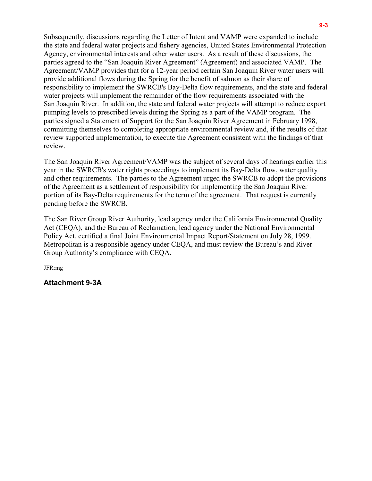Subsequently, discussions regarding the Letter of Intent and VAMP were expanded to include the state and federal water projects and fishery agencies, United States Environmental Protection Agency, environmental interests and other water users. As a result of these discussions, the parties agreed to the "San Joaquin River Agreement" (Agreement) and associated VAMP. The Agreement/VAMP provides that for a 12-year period certain San Joaquin River water users will provide additional flows during the Spring for the benefit of salmon as their share of responsibility to implement the SWRCB's Bay-Delta flow requirements, and the state and federal water projects will implement the remainder of the flow requirements associated with the San Joaquin River. In addition, the state and federal water projects will attempt to reduce export pumping levels to prescribed levels during the Spring as a part of the VAMP program. The parties signed a Statement of Support for the San Joaquin River Agreement in February 1998, committing themselves to completing appropriate environmental review and, if the results of that review supported implementation, to execute the Agreement consistent with the findings of that review.

The San Joaquin River Agreement/VAMP was the subject of several days of hearings earlier this year in the SWRCB's water rights proceedings to implement its Bay-Delta flow, water quality and other requirements. The parties to the Agreement urged the SWRCB to adopt the provisions of the Agreement as a settlement of responsibility for implementing the San Joaquin River portion of its Bay-Delta requirements for the term of the agreement. That request is currently pending before the SWRCB.

The San River Group River Authority, lead agency under the California Environmental Quality Act (CEQA), and the Bureau of Reclamation, lead agency under the National Environmental Policy Act, certified a final Joint Environmental Impact Report/Statement on July 28, 1999. Metropolitan is a responsible agency under CEQA, and must review the Bureau's and River Group Authority's compliance with CEQA.

JFR:mg

**Attachment 9-3A**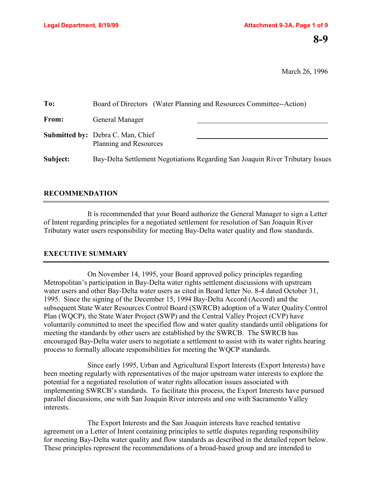March 26, 1996

| To:      | Board of Directors (Water Planning and Resources Committee--Action)            |
|----------|--------------------------------------------------------------------------------|
| From:    | General Manager                                                                |
|          | <b>Submitted by:</b> Debra C. Man, Chief<br>Planning and Resources             |
| Subject: | Bay-Delta Settlement Negotiations Regarding San Joaquin River Tributary Issues |

# **RECOMMENDATION**

It is recommended that your Board authorize the General Manager to sign a Letter of Intent regarding principles for a negotiated settlement for resolution of San Joaquin River Tributary water users responsibility for meeting Bay-Delta water quality and flow standards.

# **EXECUTIVE SUMMARY**

On November 14, 1995, your Board approved policy principles regarding Metropolitan's participation in Bay-Delta water rights settlement discussions with upstream water users and other Bay-Delta water users as cited in Board letter No. 8-4 dated October 31, 1995. Since the signing of the December 15, 1994 Bay-Delta Accord (Accord) and the subsequent State Water Resources Control Board (SWRCB) adoption of a Water Quality Control Plan (WQCP), the State Water Project (SWP) and the Central Valley Project (CVP) have voluntarily committed to meet the specified flow and water quality standards until obligations for meeting the standards by other users are established by the SWRCB. The SWRCB has encouraged Bay-Delta water users to negotiate a settlement to assist with its water rights hearing process to formally allocate responsibilities for meeting the WQCP standards.

Since early 1995, Urban and Agricultural Export Interests (Export Interests) have been meeting regularly with representatives of the major upstream water interests to explore the potential for a negotiated resolution of water rights allocation issues associated with implementing SWRCB's standards. To facilitate this process, the Export Interests have pursued parallel discussions, one with San Joaquin River interests and one with Sacramento Valley interests.

The Export Interests and the San Joaquin interests have reached tentative agreement on a Letter of Intent containing principles to settle disputes regarding responsibility for meeting Bay-Delta water quality and flow standards as described in the detailed report below. These principles represent the recommendations of a broad-based group and are intended to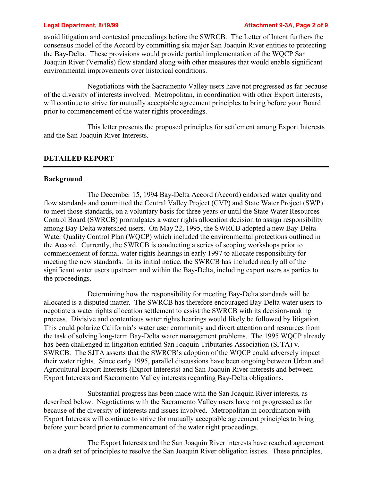#### **Legal Department, 8/19/99 Attachment 9-3A, Page 2 of 9**

avoid litigation and contested proceedings before the SWRCB. The Letter of Intent furthers the consensus model of the Accord by committing six major San Joaquin River entities to protecting the Bay-Delta. These provisions would provide partial implementation of the WQCP San Joaquin River (Vernalis) flow standard along with other measures that would enable significant environmental improvements over historical conditions.

Negotiations with the Sacramento Valley users have not progressed as far because of the diversity of interests involved. Metropolitan, in coordination with other Export Interests, will continue to strive for mutually acceptable agreement principles to bring before your Board prior to commencement of the water rights proceedings.

This letter presents the proposed principles for settlement among Export Interests and the San Joaquin River Interests.

### **DETAILED REPORT**

#### **Background**

The December 15, 1994 Bay-Delta Accord (Accord) endorsed water quality and flow standards and committed the Central Valley Project (CVP) and State Water Project (SWP) to meet those standards, on a voluntary basis for three years or until the State Water Resources Control Board (SWRCB) promulgates a water rights allocation decision to assign responsibility among Bay-Delta watershed users. On May 22, 1995, the SWRCB adopted a new Bay-Delta Water Quality Control Plan (WQCP) which included the environmental protections outlined in the Accord. Currently, the SWRCB is conducting a series of scoping workshops prior to commencement of formal water rights hearings in early 1997 to allocate responsibility for meeting the new standards. In its initial notice, the SWRCB has included nearly all of the significant water users upstream and within the Bay-Delta, including export users as parties to the proceedings.

Determining how the responsibility for meeting Bay-Delta standards will be allocated is a disputed matter. The SWRCB has therefore encouraged Bay-Delta water users to negotiate a water rights allocation settlement to assist the SWRCB with its decision-making process. Divisive and contentious water rights hearings would likely be followed by litigation. This could polarize California's water user community and divert attention and resources from the task of solving long-term Bay-Delta water management problems. The 1995 WQCP already has been challenged in litigation entitled San Joaquin Tributaries Association (SJTA) v. SWRCB. The SJTA asserts that the SWRCB's adoption of the WQCP could adversely impact their water rights. Since early 1995, parallel discussions have been ongoing between Urban and Agricultural Export Interests (Export Interests) and San Joaquin River interests and between Export Interests and Sacramento Valley interests regarding Bay-Delta obligations.

Substantial progress has been made with the San Joaquin River interests, as described below. Negotiations with the Sacramento Valley users have not progressed as far because of the diversity of interests and issues involved. Metropolitan in coordination with Export Interests will continue to strive for mutually acceptable agreement principles to bring before your board prior to commencement of the water right proceedings.

The Export Interests and the San Joaquin River interests have reached agreement on a draft set of principles to resolve the San Joaquin River obligation issues. These principles,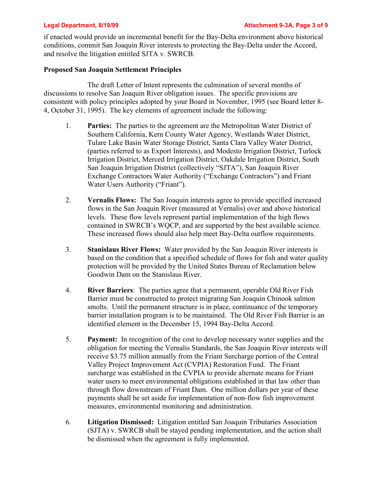if enacted would provide an incremental benefit for the Bay-Delta environment above historical conditions, commit San Joaquin River interests to protecting the Bay-Delta under the Accord, and resolve the litigation entitled SJTA v. SWRCB.

# **Proposed San Joaquin Settlement Principles**

The draft Letter of Intent represents the culmination of several months of discussions to resolve San Joaquin River obligation issues. The specific provisions are consistent with policy principles adopted by your Board in November, 1995 (see Board letter 8- 4, October 31, 1995). The key elements of agreement include the following:

- 1. **Parties:** The parties to the agreement are the Metropolitan Water District of Southern California, Kern County Water Agency, Westlands Water District, Tulare Lake Basin Water Storage District, Santa Clara Valley Water District, (parties referred to as Export Interests), and Modesto Irrigation District, Turlock Irrigation District, Merced Irrigation District, Oakdale Irrigation District, South San Joaquin Irrigation District (collectively "SJTA"), San Joaquin River Exchange Contractors Water Authority ("Exchange Contractors") and Friant Water Users Authority ("Friant").
- 2. **Vernalis Flows:** The San Joaquin interests agree to provide specified increased flows in the San Joaquin River (measured at Vernalis) over and above historical levels. These flow levels represent partial implementation of the high flows contained in SWRCB's WQCP, and are supported by the best available science. These increased flows should also help meet Bay-Delta outflow requirements.
- 3. **Stanislaus River Flows:** Water provided by the San Joaquin River interests is based on the condition that a specified schedule of flows for fish and water quality protection will be provided by the United States Bureau of Reclamation below Goodwin Dam on the Stanislaus River.
- 4. **River Barriers**: The parties agree that a permanent, operable Old River Fish Barrier must be constructed to protect migrating San Joaquin Chinook salmon smolts. Until the permanent structure is in place, continuance of the temporary barrier installation program is to be maintained. The Old River Fish Barrier is an identified element in the December 15, 1994 Bay-Delta Accord.
- 5. **Payment:** In recognition of the cost to develop necessary water supplies and the obligation for meeting the Vernalis Standards, the San Joaquin River interests will receive \$3.75 million annually from the Friant Surcharge portion of the Central Valley Project Improvement Act (CVPIA) Restoration Fund. The Friant surcharge was established in the CVPIA to provide alternate means for Friant water users to meet environmental obligations established in that law other than through flow downstream of Friant Dam. One million dollars per year of these payments shall be set aside for implementation of non-flow fish improvement measures, environmental monitoring and administration.
- 6. **Litigation Dismissed:** Litigation entitled San Joaquin Tributaries Association (SJTA) v. SWRCB shall be stayed pending implementation, and the action shall be dismissed when the agreement is fully implemented.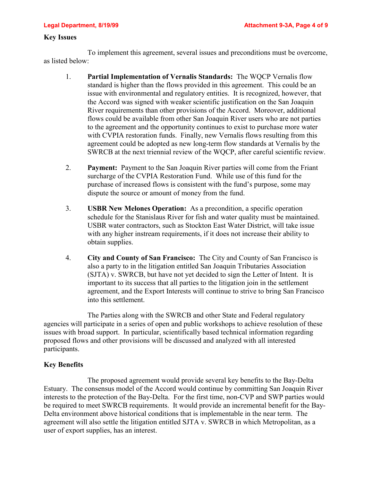### **Key Issues**

To implement this agreement, several issues and preconditions must be overcome, as listed below:

- 1. **Partial Implementation of Vernalis Standards:** The WQCP Vernalis flow standard is higher than the flows provided in this agreement. This could be an issue with environmental and regulatory entities. It is recognized, however, that the Accord was signed with weaker scientific justification on the San Joaquin River requirements than other provisions of the Accord. Moreover, additional flows could be available from other San Joaquin River users who are not parties to the agreement and the opportunity continues to exist to purchase more water with CVPIA restoration funds. Finally, new Vernalis flows resulting from this agreement could be adopted as new long-term flow standards at Vernalis by the SWRCB at the next triennial review of the WQCP, after careful scientific review.
- 2. **Payment:** Payment to the San Joaquin River parties will come from the Friant surcharge of the CVPIA Restoration Fund. While use of this fund for the purchase of increased flows is consistent with the fund's purpose, some may dispute the source or amount of money from the fund.
- 3. **USBR New Melones Operation:** As a precondition, a specific operation schedule for the Stanislaus River for fish and water quality must be maintained. USBR water contractors, such as Stockton East Water District, will take issue with any higher instream requirements, if it does not increase their ability to obtain supplies.
- 4. **City and County of San Francisco:** The City and County of San Francisco is also a party to in the litigation entitled San Joaquin Tributaries Association (SJTA) v. SWRCB, but have not yet decided to sign the Letter of Intent. It is important to its success that all parties to the litigation join in the settlement agreement, and the Export Interests will continue to strive to bring San Francisco into this settlement.

The Parties along with the SWRCB and other State and Federal regulatory agencies will participate in a series of open and public workshops to achieve resolution of these issues with broad support. In particular, scientifically based technical information regarding proposed flows and other provisions will be discussed and analyzed with all interested participants.

# **Key Benefits**

The proposed agreement would provide several key benefits to the Bay-Delta Estuary. The consensus model of the Accord would continue by committing San Joaquin River interests to the protection of the Bay-Delta. For the first time, non-CVP and SWP parties would be required to meet SWRCB requirements. It would provide an incremental benefit for the Bay-Delta environment above historical conditions that is implementable in the near term. The agreement will also settle the litigation entitled SJTA v. SWRCB in which Metropolitan, as a user of export supplies, has an interest.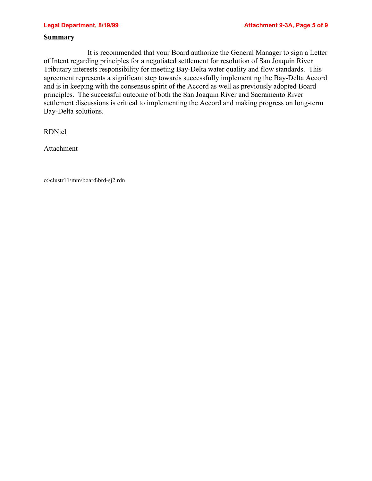### **Summary**

It is recommended that your Board authorize the General Manager to sign a Letter of Intent regarding principles for a negotiated settlement for resolution of San Joaquin River Tributary interests responsibility for meeting Bay-Delta water quality and flow standards. This agreement represents a significant step towards successfully implementing the Bay-Delta Accord and is in keeping with the consensus spirit of the Accord as well as previously adopted Board principles. The successful outcome of both the San Joaquin River and Sacramento River settlement discussions is critical to implementing the Accord and making progress on long-term Bay-Delta solutions.

RDN:cl

Attachment

o:\clustr11\mm\board\brd-sj2.rdn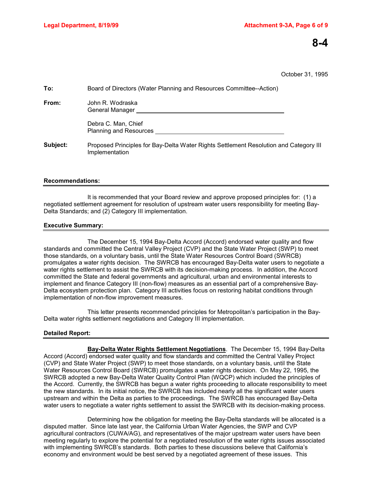# **8-4**

October 31, 1995

| To:      | Board of Directors (Water Planning and Resources Committee--Action)                                     |
|----------|---------------------------------------------------------------------------------------------------------|
| From:    | John R. Wodraska<br>General Manager                                                                     |
|          | Debra C. Man, Chief<br><b>Planning and Resources</b>                                                    |
| Subject: | Proposed Principles for Bay-Delta Water Rights Settlement Resolution and Category III<br>Implementation |
|          |                                                                                                         |

#### **Recommendations:**

It is recommended that your Board review and approve proposed principles for: (1) a negotiated settlement agreement for resolution of upstream water users responsibility for meeting Bay-Delta Standards; and (2) Category III implementation.

#### **Executive Summary:**

The December 15, 1994 Bay-Delta Accord (Accord) endorsed water quality and flow standards and committed the Central Valley Project (CVP) and the State Water Project (SWP) to meet those standards, on a voluntary basis, until the State Water Resources Control Board (SWRCB) promulgates a water rights decision. The SWRCB has encouraged Bay-Delta water users to negotiate a water rights settlement to assist the SWRCB with its decision-making process. In addition, the Accord committed the State and federal governments and agricultural, urban and environmental interests to implement and finance Category III (non-flow) measures as an essential part of a comprehensive Bay-Delta ecosystem protection plan. Category III activities focus on restoring habitat conditions through implementation of non-flow improvement measures.

This letter presents recommended principles for Metropolitan's participation in the Bay-Delta water rights settlement negotiations and Category III implementation.

#### **Detailed Report:**

**Bay-Delta Water Rights Settlement Negotiations**. The December 15, 1994 Bay-Delta Accord (Accord) endorsed water quality and flow standards and committed the Central Valley Project (CVP) and State Water Project (SWP) to meet those standards, on a voluntary basis, until the State Water Resources Control Board (SWRCB) promulgates a water rights decision. On May 22, 1995, the SWRCB adopted a new Bay-Delta Water Quality Control Plan (WQCP) which included the principles of the Accord. Currently, the SWRCB has begun a water rights proceeding to allocate responsibility to meet the new standards. In its initial notice, the SWRCB has included nearly all the significant water users upstream and within the Delta as parties to the proceedings. The SWRCB has encouraged Bay-Delta water users to negotiate a water rights settlement to assist the SWRCB with its decision-making process.

Determining how the obligation for meeting the Bay-Delta standards will be allocated is a disputed matter. Since late last year, the California Urban Water Agencies, the SWP and CVP agricultural contractors (CUWA/AG), and representatives of the major upstream water users have been meeting regularly to explore the potential for a negotiated resolution of the water rights issues associated with implementing SWRCB's standards. Both parties to these discussions believe that California's economy and environment would be best served by a negotiated agreement of these issues. This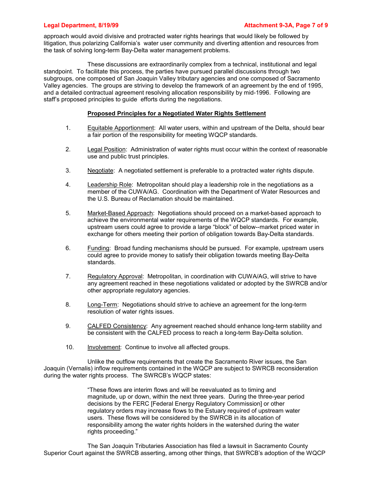approach would avoid divisive and protracted water rights hearings that would likely be followed by litigation, thus polarizing California's water user community and diverting attention and resources from the task of solving long-term Bay-Delta water management problems.

These discussions are extraordinarily complex from a technical, institutional and legal standpoint. To facilitate this process, the parties have pursued parallel discussions through two subgroups, one composed of San Joaquin Valley tributary agencies and one composed of Sacramento Valley agencies. The groups are striving to develop the framework of an agreement by the end of 1995, and a detailed contractual agreement resolving allocation responsibility by mid-1996. Following are staff's proposed principles to guide efforts during the negotiations.

#### **Proposed Principles for a Negotiated Water Rights Settlement**

- 1. Equitable Apportionment: All water users, within and upstream of the Delta, should bear a fair portion of the responsibility for meeting WQCP standards.
- 2. Legal Position: Administration of water rights must occur within the context of reasonable use and public trust principles.
- 3. Negotiate: A negotiated settlement is preferable to a protracted water rights dispute.
- 4. Leadership Role: Metropolitan should play a leadership role in the negotiations as a member of the CUWA/AG. Coordination with the Department of Water Resources and the U.S. Bureau of Reclamation should be maintained.
- 5. Market-Based Approach: Negotiations should proceed on a market-based approach to achieve the environmental water requirements of the WQCP standards. For example, upstream users could agree to provide a large "block" of below--market priced water in exchange for others meeting their portion of obligation towards Bay-Delta standards.
- 6. Funding: Broad funding mechanisms should be pursued. For example, upstream users could agree to provide money to satisfy their obligation towards meeting Bay-Delta standards.
- 7. Regulatory Approval: Metropolitan, in coordination with CUWA/AG, will strive to have any agreement reached in these negotiations validated or adopted by the SWRCB and/or other appropriate regulatory agencies.
- 8. Long-Term: Negotiations should strive to achieve an agreement for the long-term resolution of water rights issues.
- 9. CALFED Consistency: Any agreement reached should enhance long-term stability and be consistent with the CALFED process to reach a long-term Bay-Delta solution.
- 10. Involvement: Continue to involve all affected groups.

Unlike the outflow requirements that create the Sacramento River issues, the San Joaquin (Vernalis) inflow requirements contained in the WQCP are subject to SWRCB reconsideration during the water rights process. The SWRCB's WQCP states:

> "These flows are interim flows and will be reevaluated as to timing and magnitude, up or down, within the next three years. During the three-year period decisions by the FERC [Federal Energy Regulatory Commission] or other regulatory orders may increase flows to the Estuary required of upstream water users. These flows will be considered by the SWRCB in its allocation of responsibility among the water rights holders in the watershed during the water rights proceeding."

The San Joaquin Tributaries Association has filed a lawsuit in Sacramento County Superior Court against the SWRCB asserting, among other things, that SWRCB's adoption of the WQCP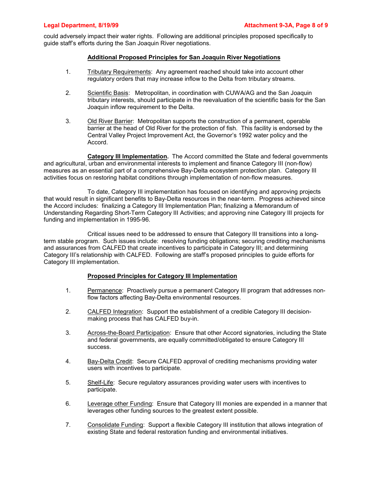could adversely impact their water rights. Following are additional principles proposed specifically to guide staff's efforts during the San Joaquin River negotiations.

#### **Additional Proposed Principles for San Joaquin River Negotiations**

- 1. Tributary Requirements: Any agreement reached should take into account other regulatory orders that may increase inflow to the Delta from tributary streams.
- 2. Scientific Basis: Metropolitan, in coordination with CUWA/AG and the San Joaquin tributary interests, should participate in the reevaluation of the scientific basis for the San Joaquin inflow requirement to the Delta.
- 3. Old River Barrier: Metropolitan supports the construction of a permanent, operable barrier at the head of Old River for the protection of fish. This facility is endorsed by the Central Valley Project Improvement Act, the Governor's 1992 water policy and the Accord.

**Category III Implementation.** The Accord committed the State and federal governments and agricultural, urban and environmental interests to implement and finance Category III (non-flow) measures as an essential part of a comprehensive Bay-Delta ecosystem protection plan. Category III activities focus on restoring habitat conditions through implementation of non-flow measures.

To date, Category III implementation has focused on identifying and approving projects that would result in significant benefits to Bay-Delta resources in the near-term. Progress achieved since the Accord includes: finalizing a Category III Implementation Plan; finalizing a Memorandum of Understanding Regarding Short-Term Category III Activities; and approving nine Category III projects for funding and implementation in 1995-96.

Critical issues need to be addressed to ensure that Category III transitions into a longterm stable program. Such issues include: resolving funding obligations; securing crediting mechanisms and assurances from CALFED that create incentives to participate in Category III; and determining Category III's relationship with CALFED. Following are staff's proposed principles to guide efforts for Category III implementation.

#### **Proposed Principles for Category III Implementation**

- 1. Permanence: Proactively pursue a permanent Category III program that addresses nonflow factors affecting Bay-Delta environmental resources.
- 2. CALFED Integration: Support the establishment of a credible Category III decisionmaking process that has CALFED buy-in.
- 3. Across-the-Board Participation: Ensure that other Accord signatories, including the State and federal governments, are equally committed/obligated to ensure Category III success.
- 4. Bay-Delta Credit: Secure CALFED approval of crediting mechanisms providing water users with incentives to participate.
- 5. Shelf-Life: Secure regulatory assurances providing water users with incentives to participate.
- 6. Leverage other Funding: Ensure that Category III monies are expended in a manner that leverages other funding sources to the greatest extent possible.
- 7. Consolidate Funding: Support a flexible Category III institution that allows integration of existing State and federal restoration funding and environmental initiatives.